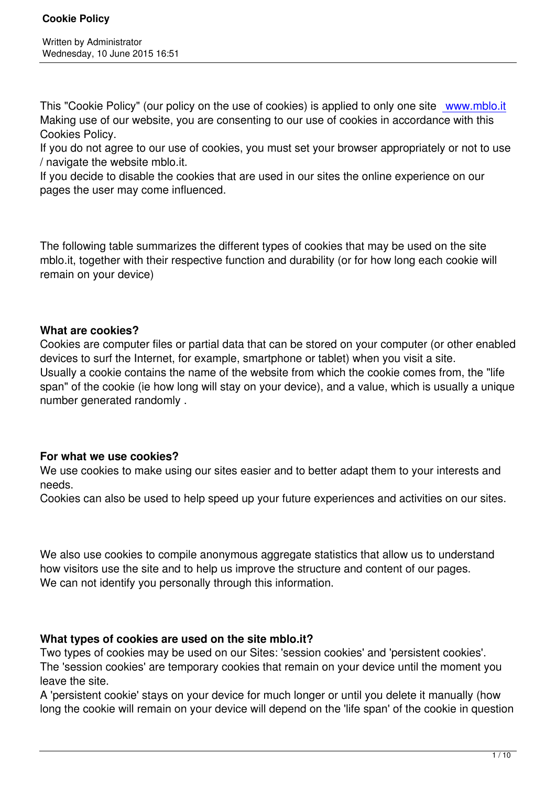This "Cookie Policy" (our policy on the use of cookies) is applied to only one site www.mblo.it Making use of our website, you are consenting to our use of cookies in accordance with this Cookies Policy.

If you do not agree to our use of cookies, you must set your browser appropriatel[y or not to use](www.mblo.it) / navigate the website mblo.it.

If you decide to disable the cookies that are used in our sites the online experience on our pages the user may come influenced.

The following table summarizes the different types of cookies that may be used on the site mblo.it, together with their respective function and durability (or for how long each cookie will remain on your device)

## **What are cookies?**

Cookies are computer files or partial data that can be stored on your computer (or other enabled devices to surf the Internet, for example, smartphone or tablet) when you visit a site. Usually a cookie contains the name of the website from which the cookie comes from, the "life span" of the cookie (ie how long will stay on your device), and a value, which is usually a unique number generated randomly .

## **For what we use cookies?**

We use cookies to make using our sites easier and to better adapt them to your interests and needs.

Cookies can also be used to help speed up your future experiences and activities on our sites.

We also use cookies to compile anonymous aggregate statistics that allow us to understand how visitors use the site and to help us improve the structure and content of our pages. We can not identify you personally through this information.

## **What types of cookies are used on the site mblo.it?**

Two types of cookies may be used on our Sites: 'session cookies' and 'persistent cookies'. The 'session cookies' are temporary cookies that remain on your device until the moment you leave the site.

A 'persistent cookie' stays on your device for much longer or until you delete it manually (how long the cookie will remain on your device will depend on the 'life span' of the cookie in question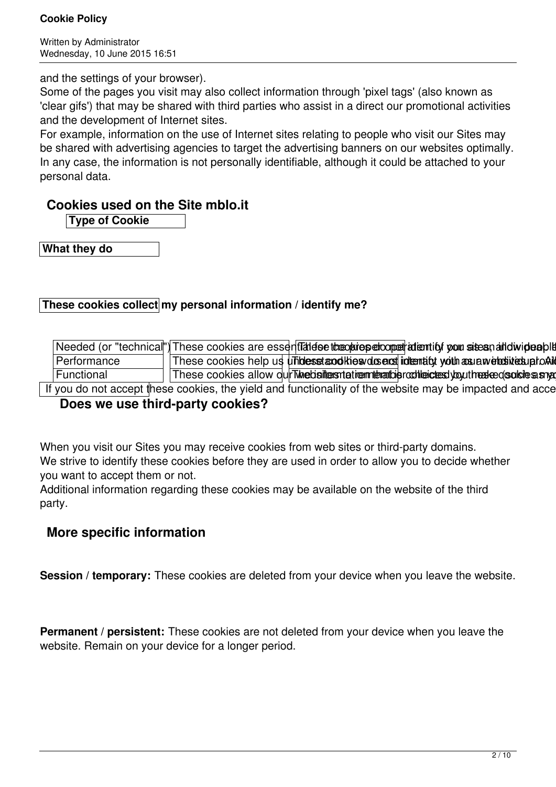Written by Administrator Wednesday, 10 June 2015 16:51

and the settings of your browser).

Some of the pages you visit may also collect information through 'pixel tags' (also known as 'clear gifs') that may be shared with third parties who assist in a direct our promotional activities and the development of Internet sites.

For example, information on the use of Internet sites relating to people who visit our Sites may be shared with advertising agencies to target the advertising banners on our websites optimally. In any case, the information is not personally identifiable, although it could be attached to your personal data.

# **Cookies used on the Site mblo.it**

**Type of Cookie**

**What they do**

## **These cookies collect my personal information / identify me?**

|             | Needed (or "technical") These cookies are essentTatiese tree price percopert attenting your sites nation ideable |
|-------------|------------------------------------------------------------------------------------------------------------------|
| Performance | These cookies help us un hidesset anothiesv dus englinitentifyty oith asu a webustives up to Ald                 |
| Functional  | These cookies allow our Twhe bailters the multiplication contents you there ed solide a small                    |

If you do not accept these cookies, the yield and functionality of the website may be impacted and acce

# **Does we use third-party cookies?**

When you visit our Sites you may receive cookies from web sites or third-party domains. We strive to identify these cookies before they are used in order to allow you to decide whether you want to accept them or not.

Additional information regarding these cookies may be available on the website of the third party.

# **More specific information**

**Session / temporary:** These cookies are deleted from your device when you leave the website.

**Permanent / persistent:** These cookies are not deleted from your device when you leave the website. Remain on your device for a longer period.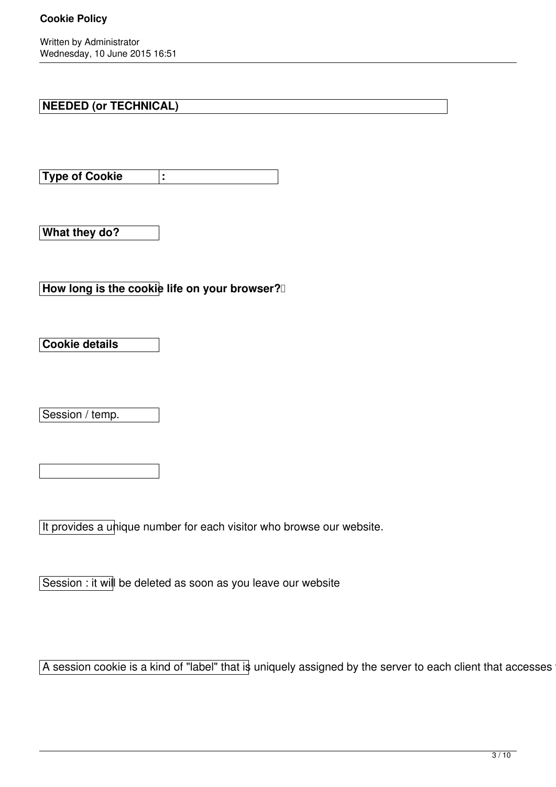#### **Cookie Policy**

Written by Administrator Wednesday, 10 June 2015 16:51

## **NEEDED (or TECHNICAL)**

**Type of Cookie :**

**What they do?**

**How long is the cookie life on your browser?** 

**Cookie details**

Session / temp.

It provides a unique number for each visitor who browse our website.

Session : it will be deleted as soon as you leave our website

A session cookie is a kind of "label" that is uniquely assigned by the server to each client that accesses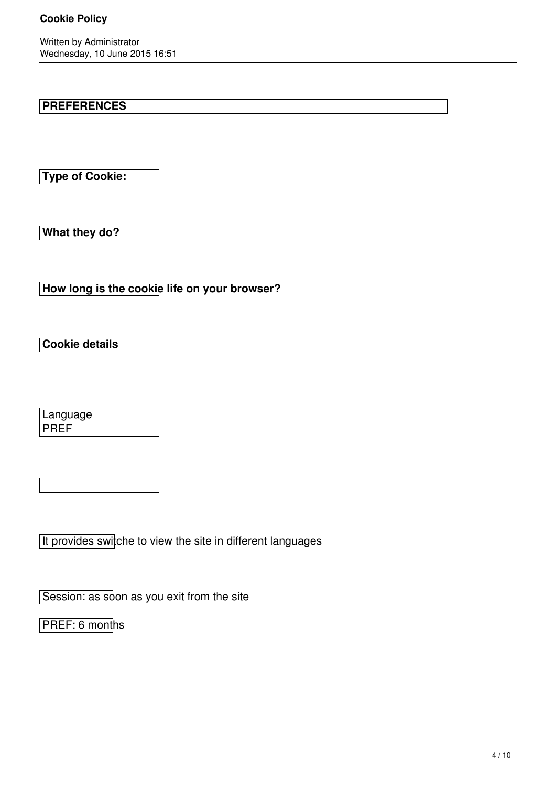Written by Administrator Wednesday, 10 June 2015 16:51

# **PREFERENCES**

**Type of Cookie:**

**What they do?**

**How long is the cookie life on your browser?**

**Cookie details**

| Language |  |
|----------|--|
|          |  |

It provides switche to view the site in different languages

Session: as soon as you exit from the site

PREF: 6 months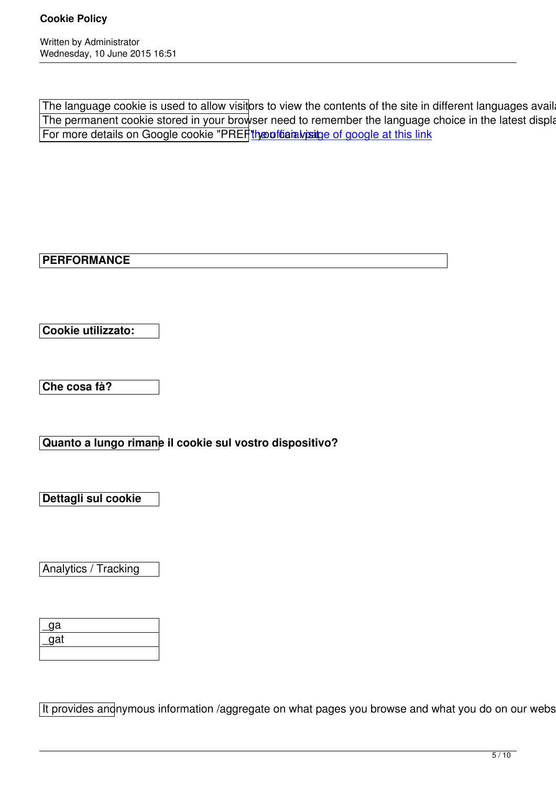The language cookie is used to allow visitors to view the contents of the site in different languages available The permanent cookie stored in your browser need to remember the language choice in the latest display and resubmit a For more details on Google cookie "PREF" the official paige of google at this link

**PERFORMANCE**

**Cookie utilizzato:**

**Che cosa fà?**

**Quanto a lungo rimane il cookie sul vostro dispositivo?**

**Dettagli sul cookie**

Analytics / Tracking

| _ga |  |
|-----|--|
| gat |  |
|     |  |

It provides anonymous information /aggregate on what pages you browse and what you do on our website.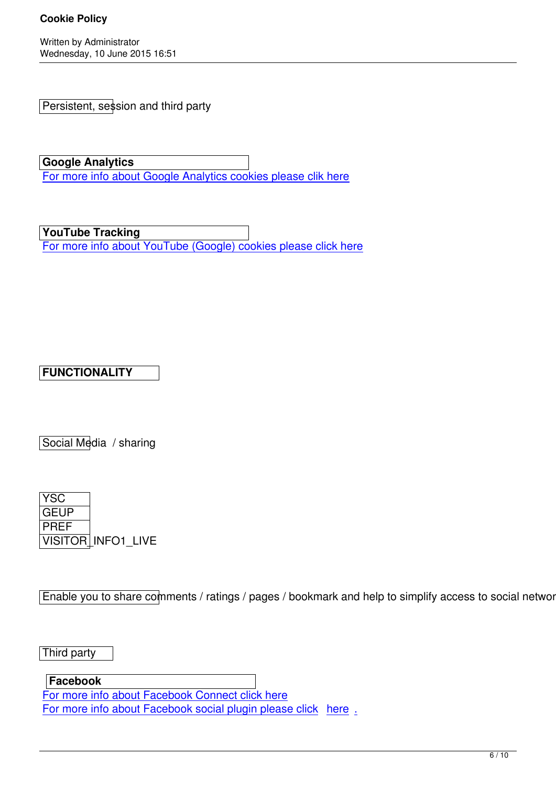Persistent, session and third party

**Google Analytics** For more info about Google Analytics cookies please clik here

**[YouTube Tracking](https://developers.google.com/analytics/devguides/collection/analyticsjs/cookie-usage)**

For more info about YouTube (Google) cookies please click here

# **FUNCTIONALITY**

Social Media / sharing



Enable you to share comments / ratings / pages / bookmark and help to simplify access to social networks

Third party

**Facebook**

For more info about Facebook Connect click here For more info about Facebook social plugin please click here.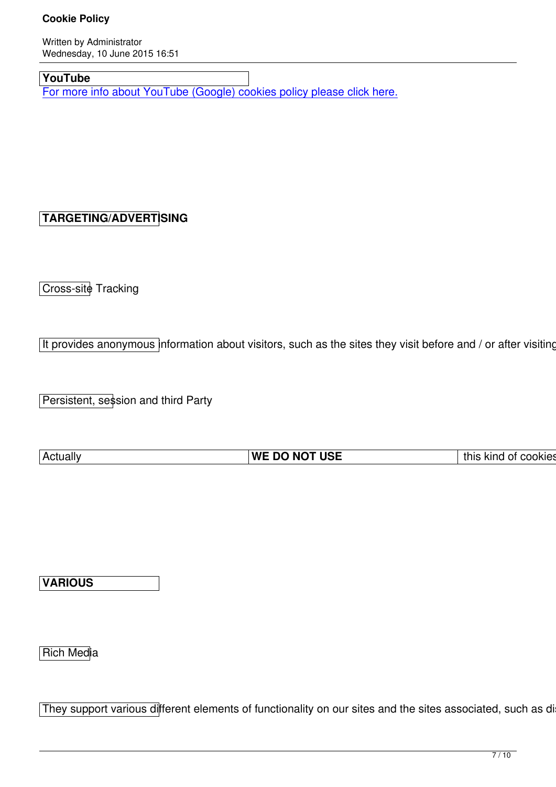# **YouTube**

For more info about YouTube (Google) cookies policy please click here.

# **TARGETING/ADVERTISING**

Cross-site Tracking

It provides anonymous information about visitors, such as the sites they visit before and  $\prime$  or after visiting our

Persistent, session and third Party

| ⊦Actuall∨ | Пес<br>-----<br>WI<br>DC<br>N0<br>UJL<br> | ın<br>this<br><b>COOKIES</b><br>----<br>,,,,,<br>- 11<br>NU IU. |
|-----------|-------------------------------------------|-----------------------------------------------------------------|

**VARIOUS**

Rich Media

They support various different elements of functionality on our sites and the sites associated, such as displa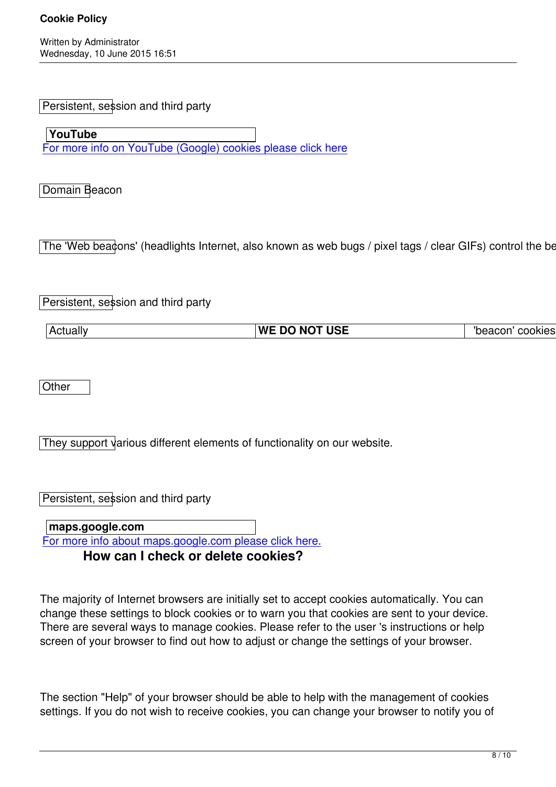Persistent, session and third party

 **YouTube** For more info on YouTube (Google) cookies please click here

[Domain Beacon](http://www.google.co.uk/intl/en/policies/privacy/)

The 'Web beadons' (headlights Internet, also known as web bugs / pixel tags / clear GIFs) control the behat

Persistent, session and third party

|--|

**Other** 

They support various different elements of functionality on our website.

Persistent, session and third party

 **maps.google.com** For more info about maps.google.com please click here. **How can I check or delete cookies?**

The majority of Internet browsers are initially set to accept cookies automatically. You can change these settings to block cookies or to warn you that cookies are sent to your device. There are several ways to manage cookies. Please refer to the user 's instructions or help screen of your browser to find out how to adjust or change the settings of your browser.

The section "Help" of your browser should be able to help with the management of cookies settings. If you do not wish to receive cookies, you can change your browser to notify you of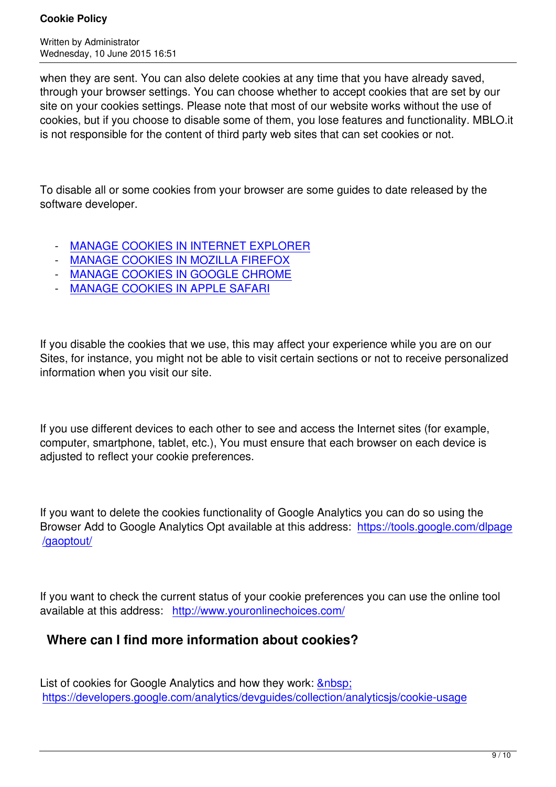when they are sent. You can also delete cookies at any time that you have already saved, through your browser settings. You can choose whether to accept cookies that are set by our site on your cookies settings. Please note that most of our website works without the use of cookies, but if you choose to disable some of them, you lose features and functionality. MBLO.it is not responsible for the content of third party web sites that can set cookies or not.

To disable all or some cookies from your browser are some guides to date released by the software developer.

- MANAGE COOKIES IN INTERNET EXPLORER
- MANAGE COOKIES IN MOZILLA FIREFOX
- MANAGE COOKIES IN GOOGLE CHROME
- [MANAGE COOKIES IN APPLE SAFARI](http://windows.microsoft.com/it-it/internet-explorer/delete-manage-cookies#ie=ie-11)

If you [disable the cookies that we use, this may](https://support.apple.com/kb/PH19214?viewlocale=en_US&locale=en_US) affect your experience while you are on our Sites, for instance, you might not be able to visit certain sections or not to receive personalized information when you visit our site.

If you use different devices to each other to see and access the Internet sites (for example, computer, smartphone, tablet, etc.), You must ensure that each browser on each device is adjusted to reflect your cookie preferences.

If you want to delete the cookies functionality of Google Analytics you can do so using the Browser Add to Google Analytics Opt available at this address: https://tools.google.com/dlpage /gaoptout/

[If you want](https://tools.google.com/dlpage/gaoptout/) to check the current status of your cookie preferences you can use the online tool available at this address: http://www.youronlinechoices.com/

# **Where can I find more information about cookies?**

List of cookies for Google Analytics and how they work: https://developers.google.com/analytics/devguides/collection/analyticsjs/cookie-usage